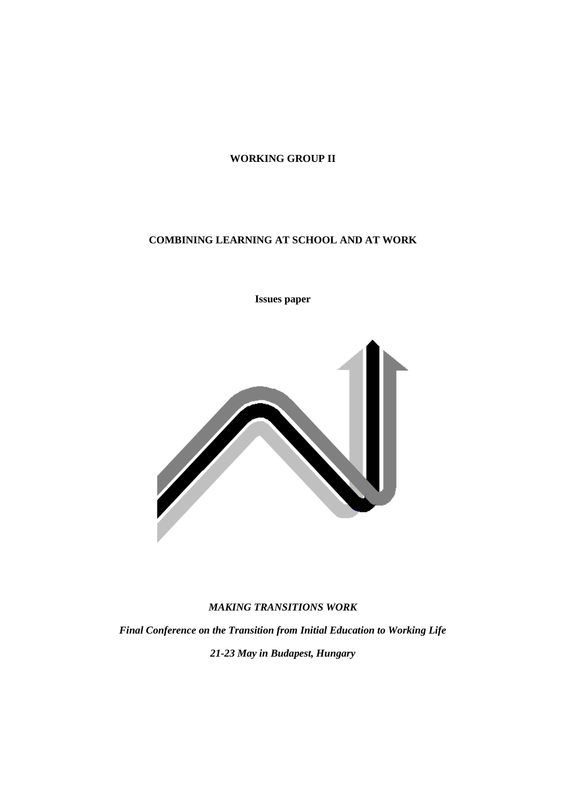# **WORKING GROUP II**

# **COMBINING LEARNING AT SCHOOL AND AT WORK**

**Issues paper**



# *MAKING TRANSITIONS WORK*

*Final Conference on the Transition from Initial Education to Working Life 21-23 May in Budapest, Hungary*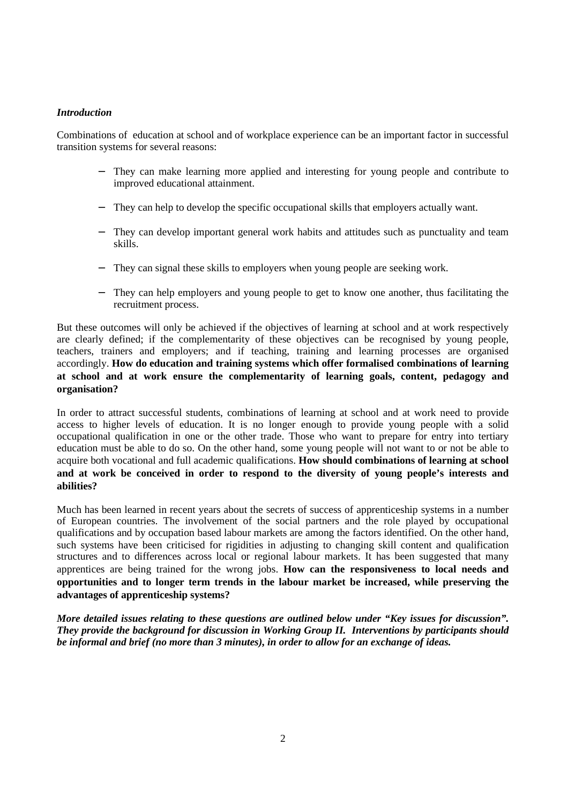# *Introduction*

Combinations of education at school and of workplace experience can be an important factor in successful transition systems for several reasons:

- They can make learning more applied and interesting for young people and contribute to improved educational attainment.
- They can help to develop the specific occupational skills that employers actually want.
- They can develop important general work habits and attitudes such as punctuality and team skills.
- − They can signal these skills to employers when young people are seeking work.
- − They can help employers and young people to get to know one another, thus facilitating the recruitment process.

But these outcomes will only be achieved if the objectives of learning at school and at work respectively are clearly defined; if the complementarity of these objectives can be recognised by young people, teachers, trainers and employers; and if teaching, training and learning processes are organised accordingly. **How do education and training systems which offer formalised combinations of learning at school and at work ensure the complementarity of learning goals, content, pedagogy and organisation?**

In order to attract successful students, combinations of learning at school and at work need to provide access to higher levels of education. It is no longer enough to provide young people with a solid occupational qualification in one or the other trade. Those who want to prepare for entry into tertiary education must be able to do so. On the other hand, some young people will not want to or not be able to acquire both vocational and full academic qualifications. **How should combinations of learning at school and at work be conceived in order to respond to the diversity of young people's interests and abilities?**

Much has been learned in recent years about the secrets of success of apprenticeship systems in a number of European countries. The involvement of the social partners and the role played by occupational qualifications and by occupation based labour markets are among the factors identified. On the other hand, such systems have been criticised for rigidities in adjusting to changing skill content and qualification structures and to differences across local or regional labour markets. It has been suggested that many apprentices are being trained for the wrong jobs. **How can the responsiveness to local needs and opportunities and to longer term trends in the labour market be increased, while preserving the advantages of apprenticeship systems?**

*More detailed issues relating to these questions are outlined below under "Key issues for discussion". They provide the background for discussion in Working Group II. Interventions by participants should be informal and brief (no more than 3 minutes), in order to allow for an exchange of ideas.*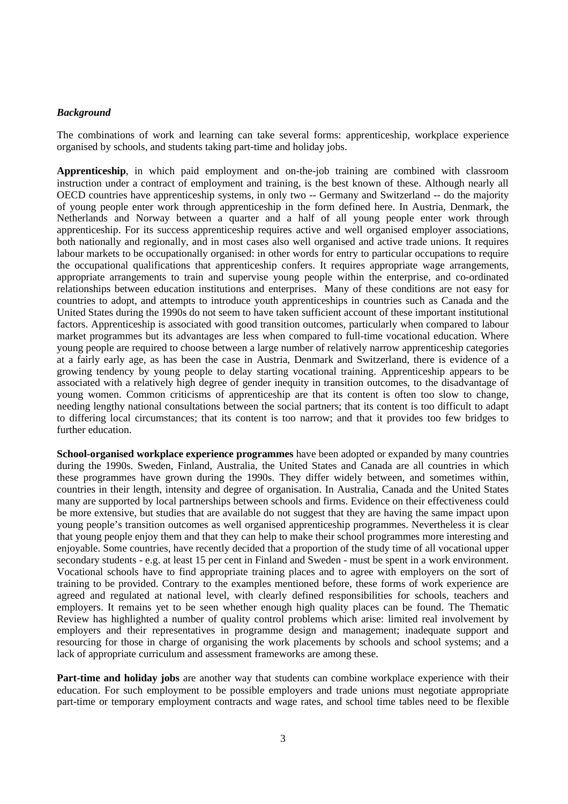#### *Background*

The combinations of work and learning can take several forms: apprenticeship, workplace experience organised by schools, and students taking part-time and holiday jobs.

**Apprenticeship**, in which paid employment and on-the-job training are combined with classroom instruction under a contract of employment and training, is the best known of these. Although nearly all OECD countries have apprenticeship systems, in only two -- Germany and Switzerland -- do the majority of young people enter work through apprenticeship in the form defined here. In Austria, Denmark, the Netherlands and Norway between a quarter and a half of all young people enter work through apprenticeship. For its success apprenticeship requires active and well organised employer associations, both nationally and regionally, and in most cases also well organised and active trade unions. It requires labour markets to be occupationally organised: in other words for entry to particular occupations to require the occupational qualifications that apprenticeship confers. It requires appropriate wage arrangements, appropriate arrangements to train and supervise young people within the enterprise, and co-ordinated relationships between education institutions and enterprises. Many of these conditions are not easy for countries to adopt, and attempts to introduce youth apprenticeships in countries such as Canada and the United States during the 1990s do not seem to have taken sufficient account of these important institutional factors. Apprenticeship is associated with good transition outcomes, particularly when compared to labour market programmes but its advantages are less when compared to full-time vocational education. Where young people are required to choose between a large number of relatively narrow apprenticeship categories at a fairly early age, as has been the case in Austria, Denmark and Switzerland, there is evidence of a growing tendency by young people to delay starting vocational training. Apprenticeship appears to be associated with a relatively high degree of gender inequity in transition outcomes, to the disadvantage of young women. Common criticisms of apprenticeship are that its content is often too slow to change, needing lengthy national consultations between the social partners; that its content is too difficult to adapt to differing local circumstances; that its content is too narrow; and that it provides too few bridges to further education.

**School-organised workplace experience programmes** have been adopted or expanded by many countries during the 1990s. Sweden, Finland, Australia, the United States and Canada are all countries in which these programmes have grown during the 1990s. They differ widely between, and sometimes within, countries in their length, intensity and degree of organisation. In Australia, Canada and the United States many are supported by local partnerships between schools and firms. Evidence on their effectiveness could be more extensive, but studies that are available do not suggest that they are having the same impact upon young people's transition outcomes as well organised apprenticeship programmes. Nevertheless it is clear that young people enjoy them and that they can help to make their school programmes more interesting and enjoyable. Some countries, have recently decided that a proportion of the study time of all vocational upper secondary students - e.g. at least 15 per cent in Finland and Sweden - must be spent in a work environment. Vocational schools have to find appropriate training places and to agree with employers on the sort of training to be provided. Contrary to the examples mentioned before, these forms of work experience are agreed and regulated at national level, with clearly defined responsibilities for schools, teachers and employers. It remains yet to be seen whether enough high quality places can be found. The Thematic Review has highlighted a number of quality control problems which arise: limited real involvement by employers and their representatives in programme design and management; inadequate support and resourcing for those in charge of organising the work placements by schools and school systems; and a lack of appropriate curriculum and assessment frameworks are among these.

**Part-time and holiday jobs** are another way that students can combine workplace experience with their education. For such employment to be possible employers and trade unions must negotiate appropriate part-time or temporary employment contracts and wage rates, and school time tables need to be flexible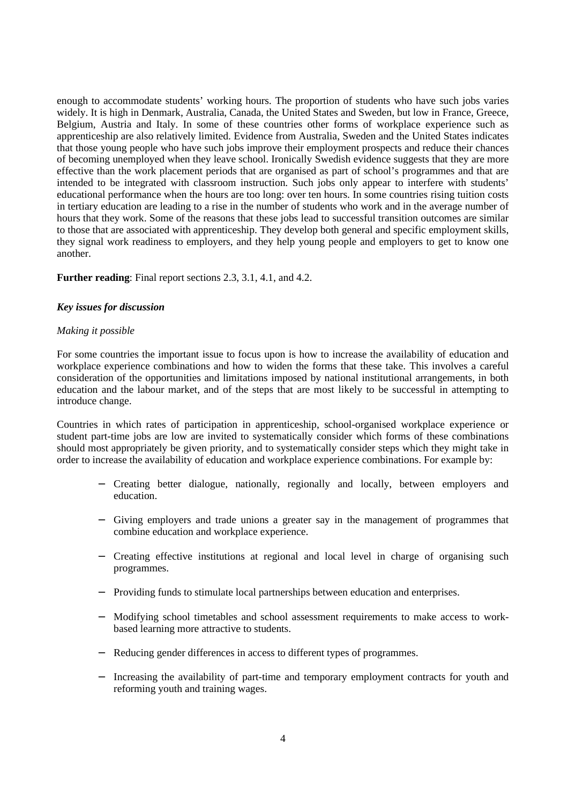enough to accommodate students' working hours. The proportion of students who have such jobs varies widely. It is high in Denmark, Australia, Canada, the United States and Sweden, but low in France, Greece, Belgium, Austria and Italy. In some of these countries other forms of workplace experience such as apprenticeship are also relatively limited. Evidence from Australia, Sweden and the United States indicates that those young people who have such jobs improve their employment prospects and reduce their chances of becoming unemployed when they leave school. Ironically Swedish evidence suggests that they are more effective than the work placement periods that are organised as part of school's programmes and that are intended to be integrated with classroom instruction. Such jobs only appear to interfere with students' educational performance when the hours are too long: over ten hours. In some countries rising tuition costs in tertiary education are leading to a rise in the number of students who work and in the average number of hours that they work. Some of the reasons that these jobs lead to successful transition outcomes are similar to those that are associated with apprenticeship. They develop both general and specific employment skills, they signal work readiness to employers, and they help young people and employers to get to know one another.

# **Further reading**: Final report sections 2.3, 3.1, 4.1, and 4.2.

# *Key issues for discussion*

# *Making it possible*

For some countries the important issue to focus upon is how to increase the availability of education and workplace experience combinations and how to widen the forms that these take. This involves a careful consideration of the opportunities and limitations imposed by national institutional arrangements, in both education and the labour market, and of the steps that are most likely to be successful in attempting to introduce change.

Countries in which rates of participation in apprenticeship, school-organised workplace experience or student part-time jobs are low are invited to systematically consider which forms of these combinations should most appropriately be given priority, and to systematically consider steps which they might take in order to increase the availability of education and workplace experience combinations. For example by:

- − Creating better dialogue, nationally, regionally and locally, between employers and education.
- − Giving employers and trade unions a greater say in the management of programmes that combine education and workplace experience.
- − Creating effective institutions at regional and local level in charge of organising such programmes.
- − Providing funds to stimulate local partnerships between education and enterprises.
- − Modifying school timetables and school assessment requirements to make access to workbased learning more attractive to students.
- Reducing gender differences in access to different types of programmes.
- − Increasing the availability of part-time and temporary employment contracts for youth and reforming youth and training wages.